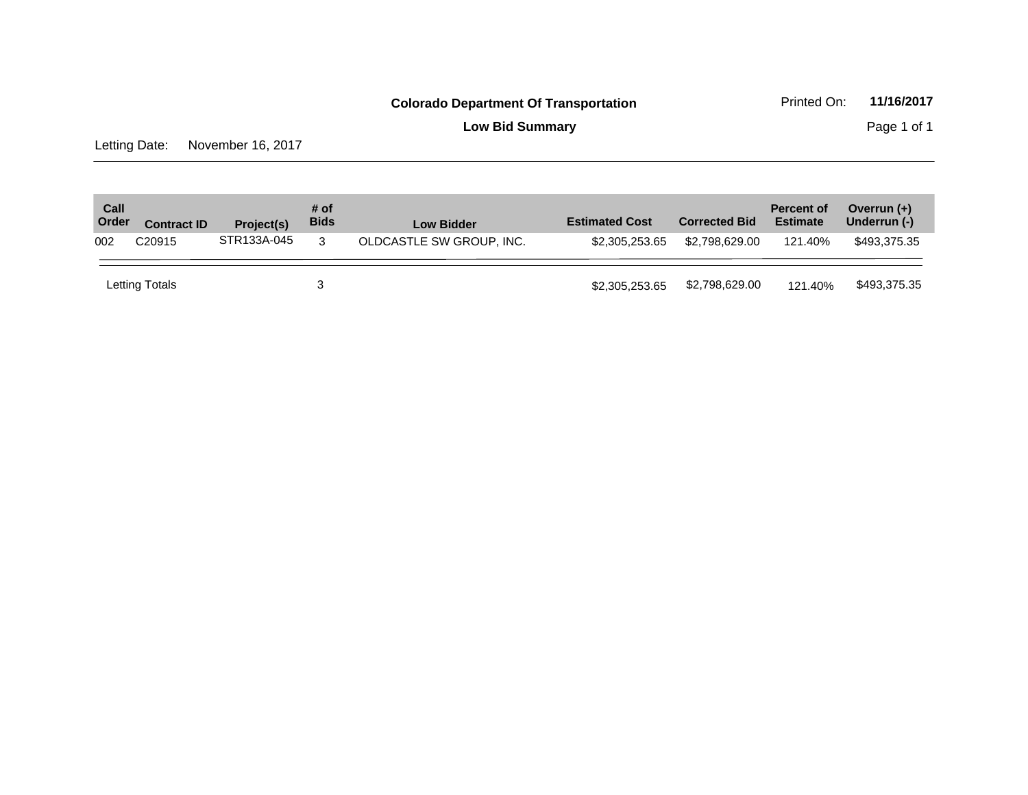**Low Bid Summary** Page 1 of 1

Letting Date: November 16, 2017

| Call<br>Order | <b>Contract ID</b> | Project(s)  | # of<br><b>Bids</b> | <b>Low Bidder</b>        | <b>Estimated Cost</b> | <b>Corrected Bid</b> | <b>Percent of</b><br><b>Estimate</b> | Overrun $(+)$<br>Underrun (-) |
|---------------|--------------------|-------------|---------------------|--------------------------|-----------------------|----------------------|--------------------------------------|-------------------------------|
| 002           | C <sub>20915</sub> | STR133A-045 | 3                   | OLDCASTLE SW GROUP, INC. | \$2,305,253,65        | \$2.798.629.00       | 121.40%                              | \$493.375.35                  |
|               | Letting Totals     |             |                     |                          | \$2,305,253.65        | \$2,798,629.00       | 121.40%                              | \$493,375.35                  |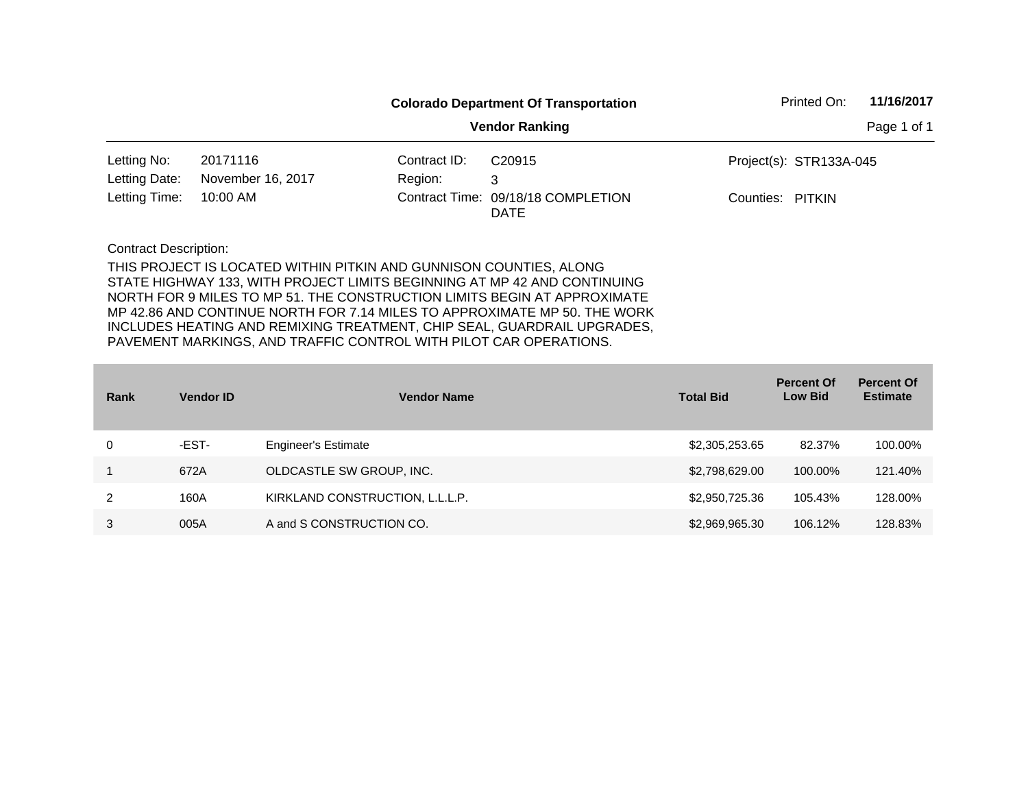|                      |                   |              | <b>Colorado Department Of Transportation</b>      | Printed On:      | 11/16/2017              |  |
|----------------------|-------------------|--------------|---------------------------------------------------|------------------|-------------------------|--|
|                      |                   |              | Page 1 of 1                                       |                  |                         |  |
| Letting No:          | 20171116          | Contract ID: | C20915                                            |                  | Project(s): STR133A-045 |  |
| Letting Date:        | November 16, 2017 | Region:      | 3                                                 |                  |                         |  |
| Letting Time:        | 10:00 AM          |              | Contract Time: 09/18/18 COMPLETION<br><b>DATE</b> | Counties: PITKIN |                         |  |
| Contract Description |                   |              |                                                   |                  |                         |  |

| Rank | <b>Vendor ID</b> | <b>Vendor Name</b>              | <b>Total Bid</b> | <b>Percent Of</b><br><b>Low Bid</b> | <b>Percent Of</b><br><b>Estimate</b> |
|------|------------------|---------------------------------|------------------|-------------------------------------|--------------------------------------|
| 0    | -EST-            | <b>Engineer's Estimate</b>      | \$2,305,253.65   | 82.37%                              | 100.00%                              |
|      | 672A             | OLDCASTLE SW GROUP, INC.        | \$2,798,629.00   | 100.00%                             | 121.40%                              |
| 2    | 160A             | KIRKLAND CONSTRUCTION, L.L.L.P. | \$2,950,725.36   | 105.43%                             | 128.00%                              |
| 3    | 005A             | A and S CONSTRUCTION CO.        | \$2,969,965.30   | 106.12%                             | 128.83%                              |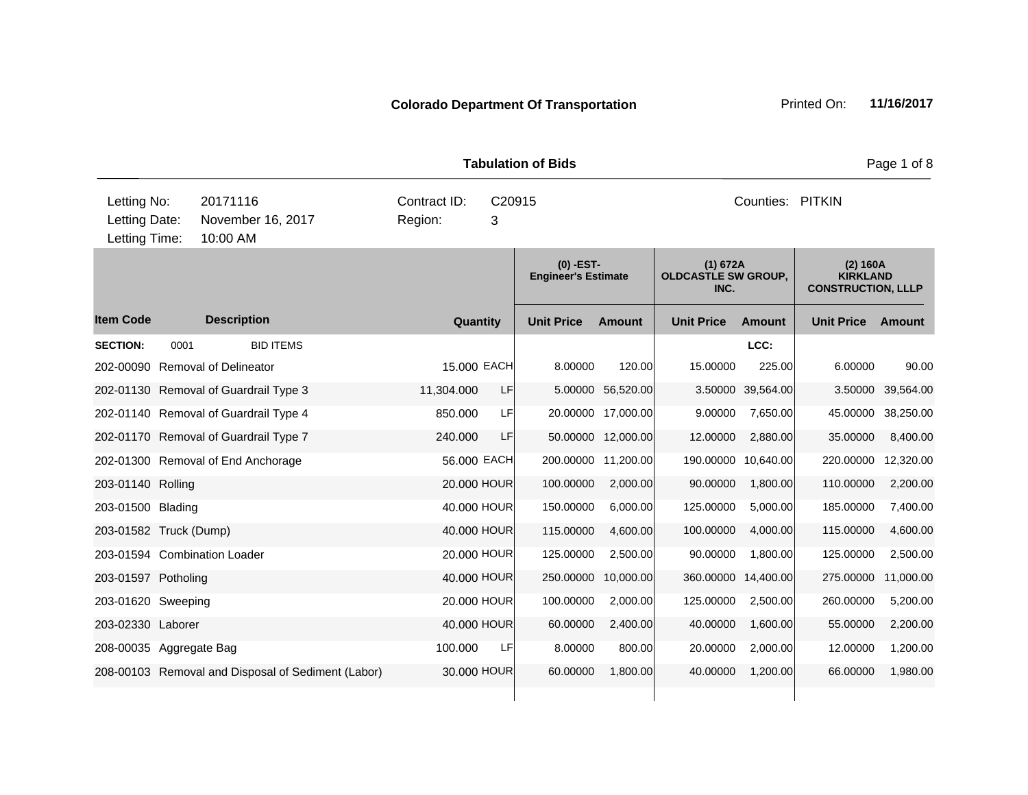**Quantity Unit Price Unit Price Ext** Item Code Description Quantity Unit Price Amount Unit Price Amount Unit Price **Ext Unit Price Amount Ext Amount (0) -EST-Engineer's Estimate (1) 672A OLDCASTLE SW GROUP, INC. (2) 160A KIRKLAND CONSTRUCTION, LLLP Description SECTION:** 0001 BID ITEMS **LCC:** 202-00090 Removal of Delineator 15.000 EACH 8.00000 120.00 15.00000 225.00 6.00000 90.00 202-01130 Removal of Guardrail Type 3 11,304.000 LF 5.00000 56,520.00 3.50000 39,564.00 3.50000 39,564.00 202-01140 Removal of Guardrail Type 4 850.000 LF 20.00000 17,000.00 9.00000 7,650.00 45.00000 38,250.00 202-01170 Removal of Guardrail Type 7 240.000 LF 50.00000 12,000.00 12.00000 2,880.00 35.00000 8,400.00 202-01300 Removal of End Anchorage 56.000 EACH 200.00000 11,200.00 190.00000 10,640.00 220.00000 12,320.00 203-01140 Rolling 20.000 HOUR 100.00000 2,000.00 90.00000 1,800.00 110.00000 2,200.00 203-01500 Blading 40.000 HOUR 150.00000 6,000.00 125.00000 5,000.00 185.00000 7,400.00 203-01582 Truck (Dump) 40.000 HOUR 115.00000 4,600.00 100.00000 4,000.00 115.00000 4,600.00 203-01594 Combination Loader 20.000 HOUR 125.00000 2,500.00 90.00000 1,800.00 125.00000 2,500.00 203-01597 Potholing 40.000 HOUR 250.00000 10,000.00 360.00000 14,400.00 275.00000 11,000.00 203-01620 Sweeping 20.000 HOUR 100.00000 2,000.00 125.00000 2,500.00 260.00000 5,200.00 203-02330 Laborer 40.000 HOUR 60.00000 2,400.00 40.00000 1,600.00 55.00000 2,200.00 208-00035 Aggregate Bag 100.000 LF 8.00000 800.00 20.00000 2,000.00 12.00000 1,200.00 208-00103 Removal and Disposal of Sediment (Labor) 30.000 HOUR 60.00000 1,800.00 40.00000 1,200.00 66.00000 1,980.00 **Tabulation of Bids Page 1 of 8** 10:00 AM Counties: PITKIN Letting Date: November 16, 2017 Region: 3 C20915 Region: Letting Time: Letting No: 20171116 Contract ID: Counties: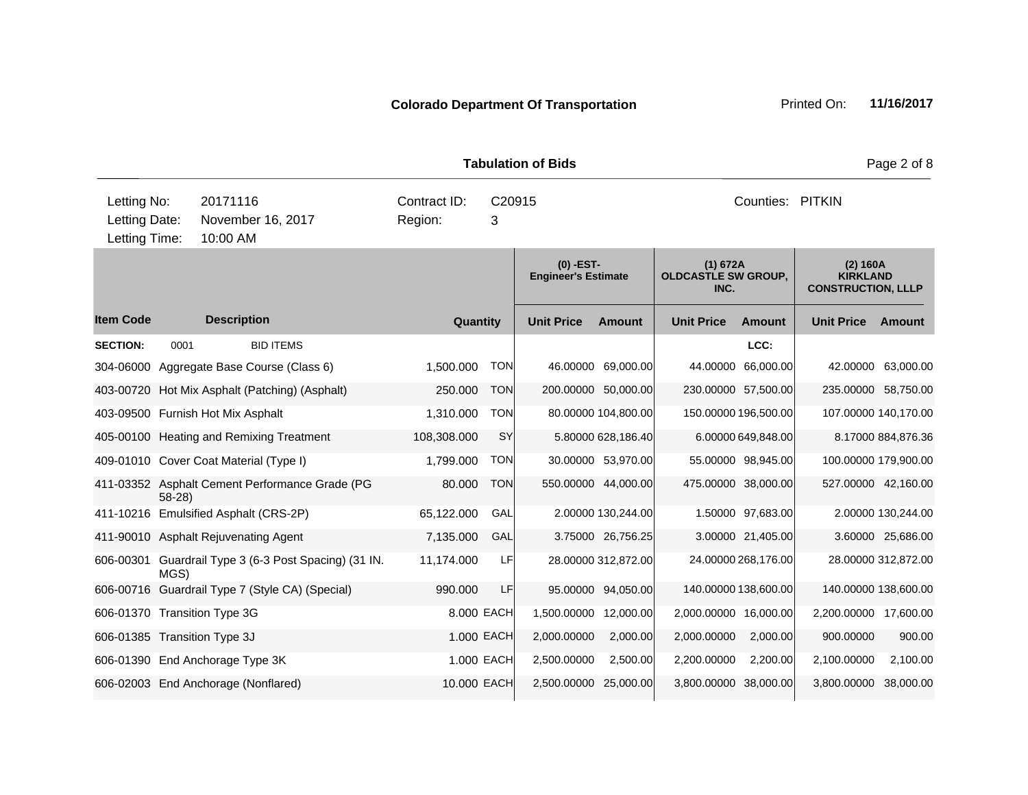| <b>Tabulation of Bids</b>            |         |                    |                                                 |              |            |                                           |                     |                                                |                      | Page 2 of 8                                              |                      |
|--------------------------------------|---------|--------------------|-------------------------------------------------|--------------|------------|-------------------------------------------|---------------------|------------------------------------------------|----------------------|----------------------------------------------------------|----------------------|
| Letting No:                          |         | 20171116           |                                                 | Contract ID: |            | C20915                                    |                     |                                                | Counties: PITKIN     |                                                          |                      |
| Letting Date:<br>Letting Time:       |         | 10:00 AM           | November 16, 2017                               | Region:      | 3          |                                           |                     |                                                |                      |                                                          |                      |
|                                      |         |                    |                                                 |              |            |                                           |                     |                                                |                      |                                                          |                      |
|                                      |         |                    |                                                 |              |            | $(0)$ -EST-<br><b>Engineer's Estimate</b> |                     | (1) 672A<br><b>OLDCASTLE SW GROUP,</b><br>INC. |                      | (2) 160A<br><b>KIRKLAND</b><br><b>CONSTRUCTION, LLLP</b> |                      |
| <b>Item Code</b>                     |         | <b>Description</b> |                                                 |              | Quantity   | <b>Unit Price</b>                         | Amount              | <b>Unit Price</b>                              | <b>Amount</b>        | <b>Unit Price</b>                                        | Amount               |
| <b>SECTION:</b>                      | 0001    |                    | <b>BID ITEMS</b>                                |              |            |                                           |                     |                                                | LCC:                 |                                                          |                      |
|                                      |         |                    | 304-06000 Aggregate Base Course (Class 6)       | 1.500.000    | <b>TON</b> |                                           | 46.00000 69,000.00  |                                                | 44.00000 66,000.00   |                                                          | 42.00000 63,000.00   |
|                                      |         |                    | 403-00720 Hot Mix Asphalt (Patching) (Asphalt)  | 250.000      | <b>TON</b> |                                           | 200.00000 50,000.00 |                                                | 230.00000 57,500.00  | 235.00000 58,750.00                                      |                      |
| 403-09500 Furnish Hot Mix Asphalt    |         |                    |                                                 | 1,310.000    | <b>TON</b> |                                           | 80.00000 104,800.00 |                                                | 150.00000 196,500.00 |                                                          | 107.00000 140,170.00 |
|                                      |         |                    | 405-00100 Heating and Remixing Treatment        | 108,308.000  | <b>SY</b>  |                                           | 5.80000 628,186.40  |                                                | 6.00000 649,848.00   |                                                          | 8.17000 884,876.36   |
|                                      |         |                    | 409-01010 Cover Coat Material (Type I)          | 1,799.000    | <b>TON</b> |                                           | 30.00000 53,970.00  |                                                | 55.00000 98,945.00   |                                                          | 100.00000 179,900.00 |
|                                      | $58-28$ |                    | 411-03352 Asphalt Cement Performance Grade (PG  | 80.000       | <b>TON</b> |                                           | 550.00000 44,000.00 |                                                | 475.00000 38,000.00  |                                                          | 527.00000 42,160.00  |
|                                      |         |                    | 411-10216 Emulsified Asphalt (CRS-2P)           | 65,122.000   | GAL        |                                           | 2.00000 130,244.00  |                                                | 1.50000 97,683.00    |                                                          | 2.00000 130,244.00   |
| 411-90010 Asphalt Rejuvenating Agent |         |                    |                                                 | 7,135.000    | GAL        |                                           | 3.75000 26,756.25   |                                                | 3.00000 21,405.00    |                                                          | 3.60000 25,686.00    |
| 606-00301                            | MGS)    |                    | Guardrail Type 3 (6-3 Post Spacing) (31 IN.     | 11,174.000   | LF         |                                           | 28.00000 312,872.00 |                                                | 24.00000 268,176.00  |                                                          | 28.00000 312,872.00  |
|                                      |         |                    | 606-00716 Guardrail Type 7 (Style CA) (Special) | 990.000      | LF         |                                           | 95.00000 94,050.00  |                                                | 140.00000 138,600.00 | 140.00000 138,600.00                                     |                      |
| 606-01370 Transition Type 3G         |         |                    |                                                 |              | 8.000 EACH | 1,500.00000 12,000.00                     |                     | 2,000.00000 16,000.00                          |                      | 2,200.00000 17,600.00                                    |                      |
| 606-01385 Transition Type 3J         |         |                    |                                                 |              | 1.000 EACH | 2,000.00000                               | 2,000.00            | 2,000.00000                                    | 2,000.00             | 900.00000                                                | 900.00               |
| 606-01390 End Anchorage Type 3K      |         |                    |                                                 |              | 1.000 EACH | 2,500.00000                               | 2,500.00            | 2,200.00000                                    | 2,200.00             | 2,100.00000                                              | 2,100.00             |
| 606-02003 End Anchorage (Nonflared)  |         |                    |                                                 | 10.000 EACH  |            | 2,500.00000                               | 25,000.00           | 3,800.00000 38,000.00                          |                      | 3,800.00000 38,000.00                                    |                      |
|                                      |         |                    |                                                 |              |            |                                           |                     |                                                |                      |                                                          |                      |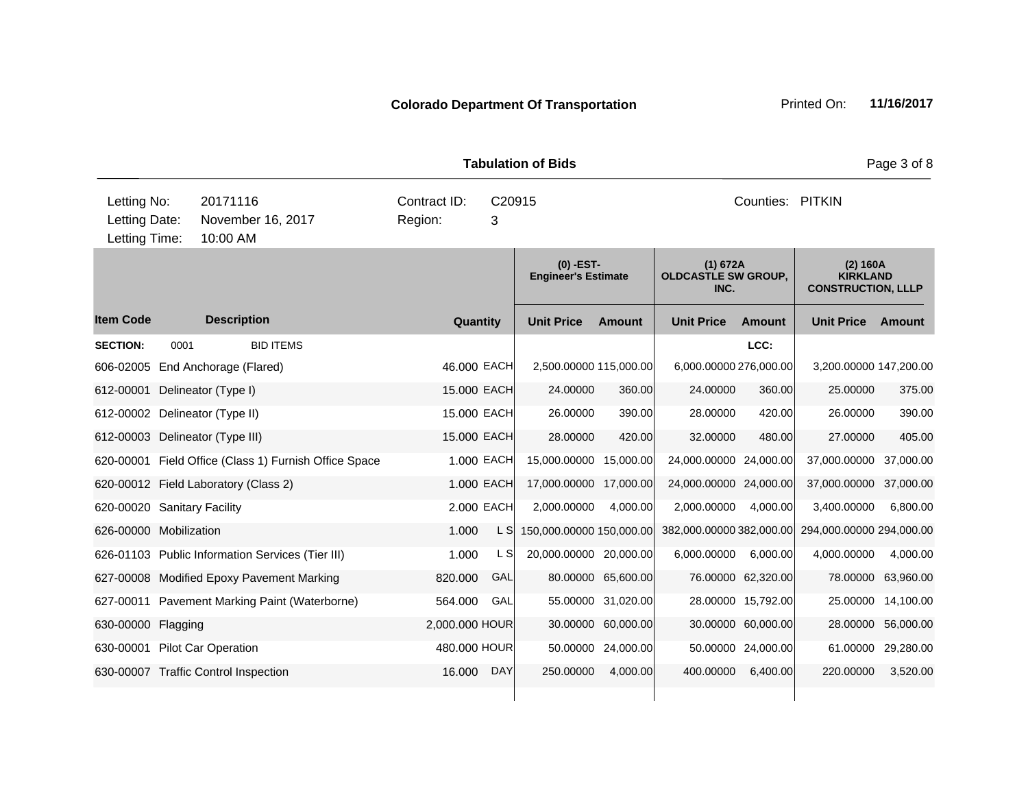| <b>Tabulation of Bids</b>                     |          |                      |                                                       |                         |             |                                           |                    |                                                |                    |                                                          | Page 3 of 8        |
|-----------------------------------------------|----------|----------------------|-------------------------------------------------------|-------------------------|-------------|-------------------------------------------|--------------------|------------------------------------------------|--------------------|----------------------------------------------------------|--------------------|
| Letting No:<br>Letting Date:<br>Letting Time: |          | 20171116<br>10:00 AM | November 16, 2017                                     | Contract ID:<br>Region: | C20915<br>3 |                                           |                    |                                                | Counties: PITKIN   |                                                          |                    |
|                                               |          |                      |                                                       |                         |             | $(0)$ -EST-<br><b>Engineer's Estimate</b> |                    | (1) 672A<br><b>OLDCASTLE SW GROUP,</b><br>INC. |                    | (2) 160A<br><b>KIRKLAND</b><br><b>CONSTRUCTION, LLLP</b> |                    |
| <b>Item Code</b>                              |          | <b>Description</b>   |                                                       | Quantity                |             | <b>Unit Price</b>                         | Amount             | <b>Unit Price</b>                              | <b>Amount</b>      | <b>Unit Price</b>                                        | Amount             |
| <b>SECTION:</b>                               | 0001     |                      | <b>BID ITEMS</b>                                      |                         |             |                                           |                    |                                                | LCC:               |                                                          |                    |
| 606-02005 End Anchorage (Flared)              |          |                      |                                                       | 46.000 EACH             |             | 2,500.00000 115,000.00                    |                    | 6,000.00000 276,000.00                         |                    | 3,200.00000 147,200.00                                   |                    |
| 612-00001                                     |          | Delineator (Type I)  |                                                       | 15.000 EACH             |             | 24.00000                                  | 360.00             | 24.00000                                       | 360.00             | 25.00000                                                 | 375.00             |
| 612-00002 Delineator (Type II)                |          |                      |                                                       | 15.000 EACH             |             | 26.00000                                  | 390.00             | 28.00000                                       | 420.00             | 26.00000                                                 | 390.00             |
| 612-00003 Delineator (Type III)               |          |                      |                                                       | 15.000 EACH             |             | 28.00000                                  | 420.00             | 32.00000                                       | 480.00             | 27.00000                                                 | 405.00             |
|                                               |          |                      | 620-00001 Field Office (Class 1) Furnish Office Space |                         | 1.000 EACH  | 15,000.00000 15,000.00                    |                    | 24,000.00000 24,000.00                         |                    | 37,000.00000                                             | 37,000.00          |
| 620-00012 Field Laboratory (Class 2)          |          |                      |                                                       |                         | 1.000 EACH  | 17,000.00000 17,000.00                    |                    | 24,000.00000 24,000.00                         |                    | 37,000.00000                                             | 37,000.00          |
| 620-00020 Sanitary Facility                   |          |                      |                                                       |                         | 2.000 EACH  | 2,000.00000                               | 4,000.00           | 2,000.00000                                    | 4,000.00           | 3,400.00000                                              | 6,800.00           |
| 626-00000 Mobilization                        |          |                      |                                                       | 1.000                   | L SI        | 150,000.00000 150,000.00                  |                    | 382,000.00000 382,000.00                       |                    | 294,000.00000 294,000.00                                 |                    |
|                                               |          |                      | 626-01103 Public Information Services (Tier III)      | 1.000                   | L S         | 20,000.00000 20,000.00                    |                    | 6,000.00000                                    | 6,000.00           | 4,000.00000                                              | 4,000.00           |
|                                               |          |                      | 627-00008 Modified Epoxy Pavement Marking             | 820.000                 | GAL         |                                           | 80.00000 65,600.00 |                                                | 76.00000 62,320.00 | 78.00000                                                 | 63,960.00          |
|                                               |          |                      | 627-00011 Pavement Marking Paint (Waterborne)         | 564.000                 | GAL         |                                           | 55.00000 31,020.00 |                                                | 28.00000 15,792.00 |                                                          | 25.00000 14,100.00 |
| 630-00000                                     | Flagging |                      |                                                       | 2,000.000 HOUR          |             | 30.00000                                  | 60,000.00          |                                                | 30.00000 60,000.00 | 28.00000                                                 | 56,000.00          |
| 630-00001 Pilot Car Operation                 |          |                      |                                                       | 480.000 HOUR            |             | 50.00000                                  | 24,000.00          |                                                | 50.00000 24,000.00 | 61.00000                                                 | 29,280.00          |
| 630-00007 Traffic Control Inspection          |          |                      |                                                       | 16.000                  | <b>DAY</b>  | 250.00000                                 | 4,000.00           | 400.00000                                      | 6,400.00           | 220.00000                                                | 3,520.00           |
|                                               |          |                      |                                                       |                         |             |                                           |                    |                                                |                    |                                                          |                    |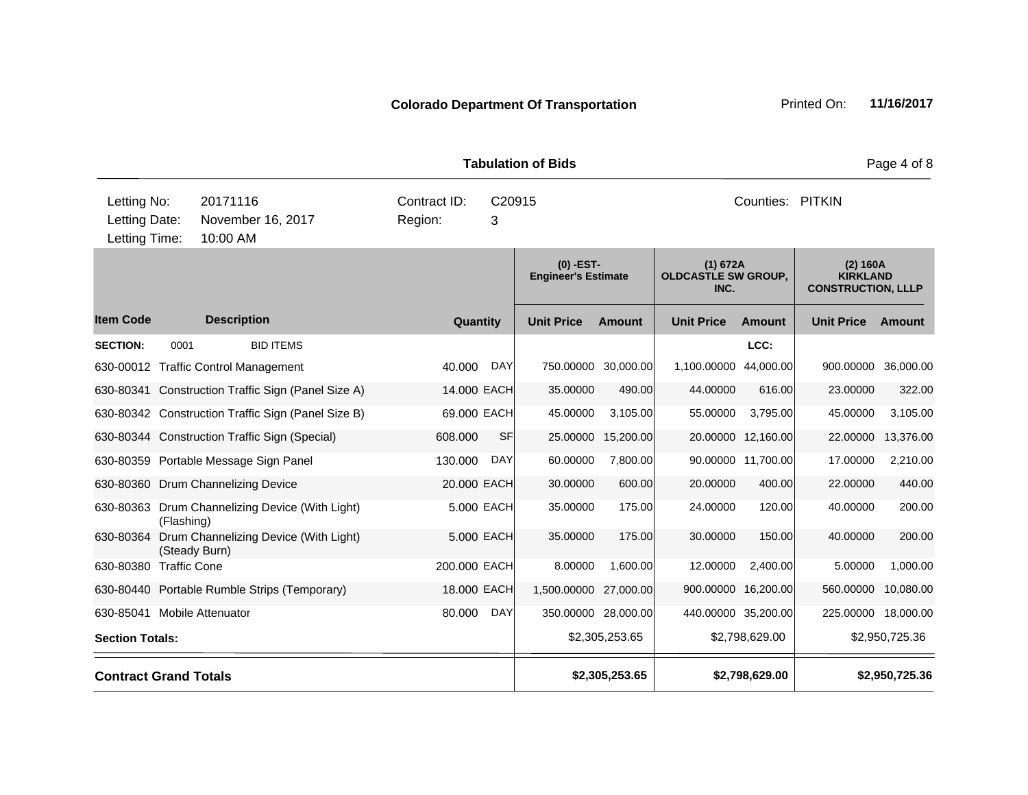**Quantity Unit Price Unit Price Ext** Item Code Description Quantity Unit Price Amount Unit Price Amount Unit Price **Ext Unit Price Amount Ext Amount (0) -EST-Engineer's Estimate (1) 672A OLDCASTLE SW GROUP, INC. (2) 160A KIRKLAND CONSTRUCTION, LLLP Description SECTION:** 0001 BID ITEMS **LCC:** 630-00012 Traffic Control Management 40.000 DAY 750.00000 30,000.00 1,100.00000 44,000.00 900.00000 36,000.00 630-80341 Construction Traffic Sign (Panel Size A) 14.000 EACH 35.00000 490.00 44.00000 616.00 23.00000 322.00 630-80342 Construction Traffic Sign (Panel Size B) 69.000 EACH 45.00000 3,105.00 55.00000 3,795.00 45.00000 3,105.00 630-80344 Construction Traffic Sign (Special) 608.000 SF 25.00000 15,200.00 20.00000 12,160.00 22.00000 13,376.00 630-80359 Portable Message Sign Panel 130.000 DAY 60.00000 7,800.00 90.00000 11,700.00 17.00000 2,210.00 630-80360 Drum Channelizing Device 20.000 EACH 30.00000 600.00 20.00000 400.00 22.00000 440.00 630-80363 Drum Channelizing Device (With Light) (Flashing) 5.000 EACH 35.00000 175.00 24.00000 120.00 40.00000 200.00 630-80364 Drum Channelizing Device (With Light) (Steady Burn) 5.000 EACH 35.00000 175.00 30.00000 150.00 40.00000 200.00 630-80380 Traffic Cone 200.000 EACH 8.00000 1,600.00 12.00000 2,400.00 5.00000 1,000.00 630-80440 Portable Rumble Strips (Temporary) 18.000 EACH 1,500.00000 27,000.00 900.00000 16,200.00 560.00000 10,080.00 630-85041 Mobile Attenuator 80.000 DAY 350.00000 28,000.00 440.00000 35,200.00 225.00000 18,000.00 **Section Totals:** \$2,950,725.36 \$2,950,725.36 \$2,305,253.65 \$2,305,253.65 \$2,798,629.00 \$2,950,725.36 **Contract Grand Totals \$2,305,253.65 \$2,798,629.00 \$2,950,725.36 Tabulation of Bids** Page 4 of 8 10:00 AM Counties: PITKIN Letting Date: November 16, 2017 Region: 3 C20915 Region: Letting Time: Letting No: 20171116 Contract ID: Counties: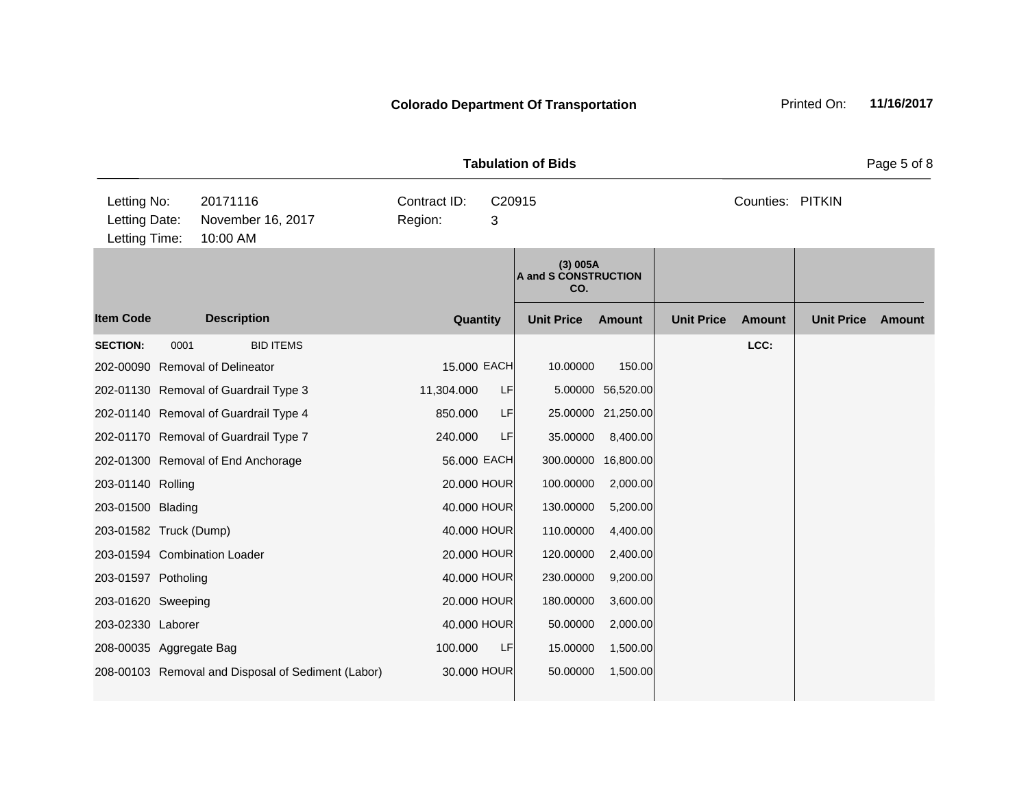|                                               | <b>Tabulation of Bids</b> |                                                    |                         |             |                                         |                    |                   |                  |                   |        |  |
|-----------------------------------------------|---------------------------|----------------------------------------------------|-------------------------|-------------|-----------------------------------------|--------------------|-------------------|------------------|-------------------|--------|--|
| Letting No:<br>Letting Date:<br>Letting Time: |                           | 20171116<br>November 16, 2017<br>10:00 AM          | Contract ID:<br>Region: | C20915<br>3 |                                         |                    |                   | Counties: PITKIN |                   |        |  |
|                                               |                           |                                                    |                         |             | (3) 005A<br>A and S CONSTRUCTION<br>CO. |                    |                   |                  |                   |        |  |
| <b>Item Code</b>                              |                           | <b>Description</b>                                 | <b>Quantity</b>         |             | <b>Unit Price</b>                       | <b>Amount</b>      | <b>Unit Price</b> | <b>Amount</b>    | <b>Unit Price</b> | Amount |  |
| <b>SECTION:</b>                               | 0001                      | <b>BID ITEMS</b>                                   |                         |             |                                         |                    |                   | LCC:             |                   |        |  |
|                                               |                           | 202-00090 Removal of Delineator                    | 15.000 EACH             |             | 10.00000                                | 150.00             |                   |                  |                   |        |  |
|                                               |                           | 202-01130 Removal of Guardrail Type 3              | 11,304.000              | LF          |                                         | 5.00000 56,520.00  |                   |                  |                   |        |  |
|                                               |                           | 202-01140 Removal of Guardrail Type 4              | 850.000                 | <b>LF</b>   |                                         | 25.00000 21,250.00 |                   |                  |                   |        |  |
|                                               |                           | 202-01170 Removal of Guardrail Type 7              | 240.000                 | LF          | 35.00000                                | 8,400.00           |                   |                  |                   |        |  |
|                                               |                           | 202-01300 Removal of End Anchorage                 | 56.000 EACH             |             | 300.00000                               | 16,800.00          |                   |                  |                   |        |  |
| 203-01140 Rolling                             |                           |                                                    | 20.000 HOUR             |             | 100.00000                               | 2,000.00           |                   |                  |                   |        |  |
| 203-01500 Blading                             |                           |                                                    | 40.000 HOUR             |             | 130.00000                               | 5,200.00           |                   |                  |                   |        |  |
| 203-01582 Truck (Dump)                        |                           |                                                    | 40.000 HOUR             |             | 110.00000                               | 4,400.00           |                   |                  |                   |        |  |
|                                               |                           | 203-01594 Combination Loader                       | 20.000 HOUR             |             | 120.00000                               | 2,400.00           |                   |                  |                   |        |  |
| 203-01597 Potholing                           |                           |                                                    | 40.000 HOUR             |             | 230.00000                               | 9,200.00           |                   |                  |                   |        |  |
| 203-01620 Sweeping                            |                           |                                                    | 20.000 HOUR             |             | 180.00000                               | 3,600.00           |                   |                  |                   |        |  |
| 203-02330 Laborer                             |                           |                                                    | 40.000 HOUR             |             | 50.00000                                | 2,000.00           |                   |                  |                   |        |  |
| 208-00035 Aggregate Bag                       |                           |                                                    | 100.000                 | LF          | 15.00000                                | 1,500.00           |                   |                  |                   |        |  |
|                                               |                           | 208-00103 Removal and Disposal of Sediment (Labor) | 30,000 HOUR             |             | 50.00000                                | 1,500.00           |                   |                  |                   |        |  |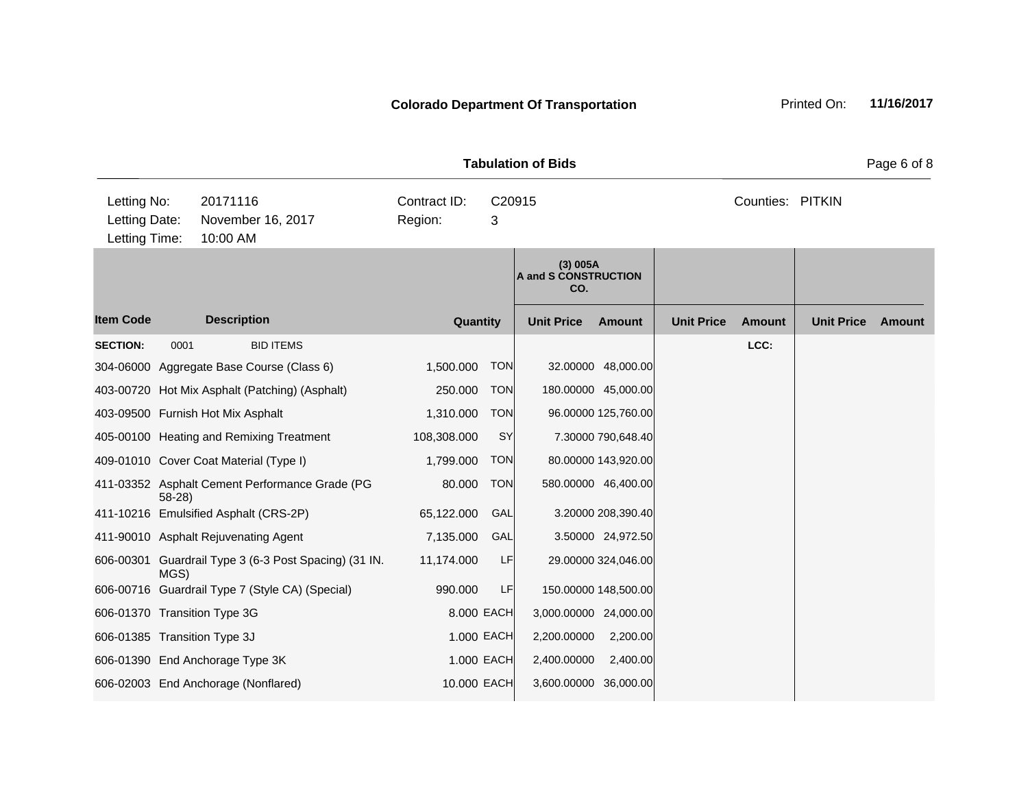|                                      | <b>Tabulation of Bids</b> |                    |                                                 |              |            |                                         |                      |                   |                  |                   | Page 6 of 8   |
|--------------------------------------|---------------------------|--------------------|-------------------------------------------------|--------------|------------|-----------------------------------------|----------------------|-------------------|------------------|-------------------|---------------|
| Letting No:                          |                           | 20171116           |                                                 | Contract ID: |            | C20915                                  |                      |                   | Counties: PITKIN |                   |               |
| Letting Date:                        |                           |                    | November 16, 2017                               | Region:      | 3          |                                         |                      |                   |                  |                   |               |
| Letting Time:                        |                           | 10:00 AM           |                                                 |              |            |                                         |                      |                   |                  |                   |               |
|                                      |                           |                    |                                                 |              |            | (3) 005A<br>A and S CONSTRUCTION<br>CO. |                      |                   |                  |                   |               |
| <b>Item Code</b>                     |                           | <b>Description</b> |                                                 | Quantity     |            | <b>Unit Price</b>                       | <b>Amount</b>        | <b>Unit Price</b> | <b>Amount</b>    | <b>Unit Price</b> | <b>Amount</b> |
| <b>SECTION:</b>                      | 0001                      |                    | <b>BID ITEMS</b>                                |              |            |                                         |                      |                   | LCC:             |                   |               |
|                                      |                           |                    | 304-06000 Aggregate Base Course (Class 6)       | 1,500.000    | <b>TON</b> |                                         | 32.00000 48,000.00   |                   |                  |                   |               |
|                                      |                           |                    | 403-00720 Hot Mix Asphalt (Patching) (Asphalt)  | 250.000      | <b>TON</b> |                                         | 180.00000 45,000.00  |                   |                  |                   |               |
| 403-09500 Furnish Hot Mix Asphalt    |                           |                    |                                                 | 1,310.000    | <b>TON</b> |                                         | 96.00000 125,760.00  |                   |                  |                   |               |
|                                      |                           |                    | 405-00100 Heating and Remixing Treatment        | 108,308.000  | SY         |                                         | 7.30000 790,648.40   |                   |                  |                   |               |
|                                      |                           |                    | 409-01010 Cover Coat Material (Type I)          | 1,799.000    | <b>TON</b> |                                         | 80.00000 143,920.00  |                   |                  |                   |               |
|                                      | $58-28$                   |                    | 411-03352 Asphalt Cement Performance Grade (PG  | 80.000       | <b>TON</b> |                                         | 580.00000 46,400.00  |                   |                  |                   |               |
|                                      |                           |                    | 411-10216 Emulsified Asphalt (CRS-2P)           | 65,122.000   | GAL        |                                         | 3.20000 208,390.40   |                   |                  |                   |               |
| 411-90010 Asphalt Rejuvenating Agent |                           |                    |                                                 | 7,135.000    | GAL        |                                         | 3.50000 24,972.50    |                   |                  |                   |               |
| 606-00301                            | MGS)                      |                    | Guardrail Type 3 (6-3 Post Spacing) (31 IN.     | 11,174.000   | LF         |                                         | 29.00000 324,046.00  |                   |                  |                   |               |
|                                      |                           |                    | 606-00716 Guardrail Type 7 (Style CA) (Special) | 990.000      | LF         |                                         | 150.00000 148,500.00 |                   |                  |                   |               |
| 606-01370 Transition Type 3G         |                           |                    |                                                 | 8,000 EACH   |            | 3,000.00000 24,000.00                   |                      |                   |                  |                   |               |
| 606-01385 Transition Type 3J         |                           |                    |                                                 | 1.000 EACH   |            | 2,200.00000                             | 2,200.00             |                   |                  |                   |               |
| 606-01390 End Anchorage Type 3K      |                           |                    |                                                 | 1.000 EACH   |            | 2,400.00000                             | 2,400.00             |                   |                  |                   |               |
| 606-02003 End Anchorage (Nonflared)  |                           |                    |                                                 | 10.000 EACH  |            | 3,600.00000 36,000.00                   |                      |                   |                  |                   |               |
|                                      |                           |                    |                                                 |              |            |                                         |                      |                   |                  |                   |               |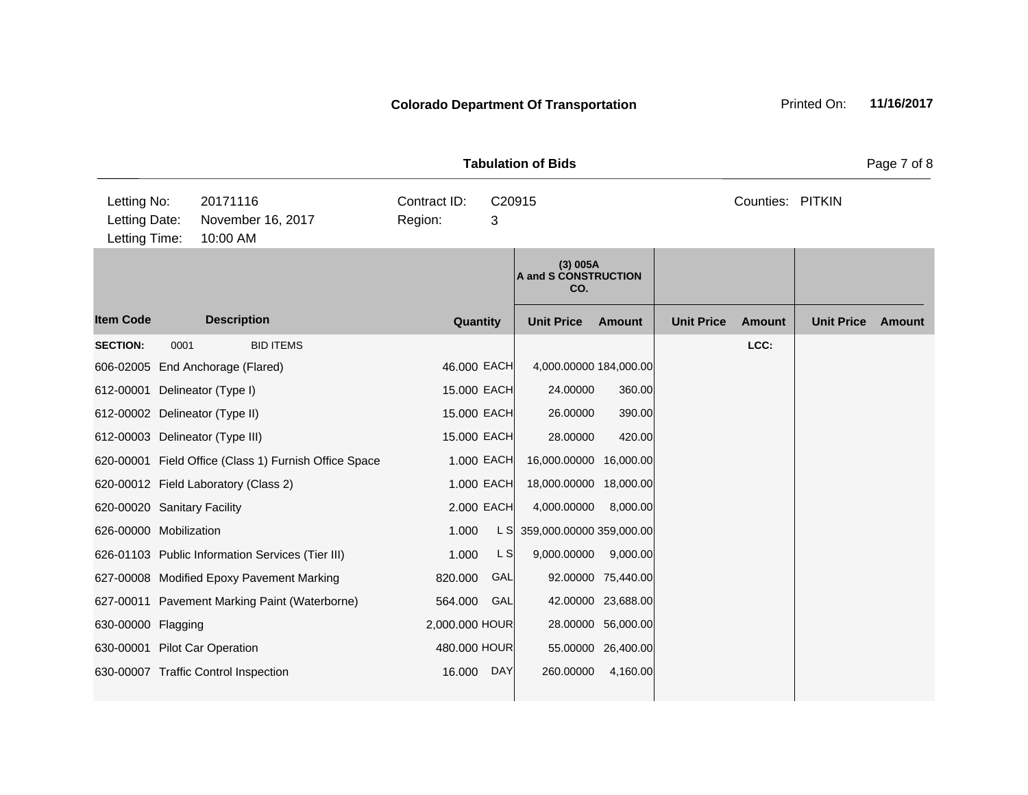|                                               |      |                                                       |                         |             | <b>Tabulation of Bids</b>               |                    |                   |                  |                   | Page 7 of 8 |
|-----------------------------------------------|------|-------------------------------------------------------|-------------------------|-------------|-----------------------------------------|--------------------|-------------------|------------------|-------------------|-------------|
| Letting No:<br>Letting Date:<br>Letting Time: |      | 20171116<br>November 16, 2017<br>10:00 AM             | Contract ID:<br>Region: | C20915<br>3 |                                         |                    |                   | Counties: PITKIN |                   |             |
|                                               |      |                                                       |                         |             | (3) 005A<br>A and S CONSTRUCTION<br>CO. |                    |                   |                  |                   |             |
| <b>Item Code</b>                              |      | <b>Description</b>                                    | Quantity                |             | <b>Unit Price</b>                       | <b>Amount</b>      | <b>Unit Price</b> | <b>Amount</b>    | <b>Unit Price</b> | Amount      |
| <b>SECTION:</b>                               | 0001 | <b>BID ITEMS</b>                                      |                         |             |                                         |                    |                   | LCC:             |                   |             |
|                                               |      | 606-02005 End Anchorage (Flared)                      | 46.000 EACH             |             | 4,000.00000 184,000.00                  |                    |                   |                  |                   |             |
|                                               |      | 612-00001 Delineator (Type I)                         | 15.000 EACH             |             | 24.00000                                | 360.00             |                   |                  |                   |             |
|                                               |      | 612-00002 Delineator (Type II)                        | 15.000 EACH             |             | 26.00000                                | 390.00             |                   |                  |                   |             |
|                                               |      | 612-00003 Delineator (Type III)                       | 15.000 EACH             |             | 28.00000                                | 420.00             |                   |                  |                   |             |
|                                               |      | 620-00001 Field Office (Class 1) Furnish Office Space |                         | 1.000 EACH  | 16,000.00000 16,000.00                  |                    |                   |                  |                   |             |
|                                               |      | 620-00012 Field Laboratory (Class 2)                  |                         | 1.000 EACH  | 18,000.00000 18,000.00                  |                    |                   |                  |                   |             |
| 620-00020 Sanitary Facility                   |      |                                                       |                         | 2.000 EACH  | 4,000.00000                             | 8,000.00           |                   |                  |                   |             |
| 626-00000 Mobilization                        |      |                                                       | 1.000                   | L S         | 359,000.00000 359,000.00                |                    |                   |                  |                   |             |
|                                               |      | 626-01103 Public Information Services (Tier III)      | 1.000                   | L S         | 9,000.00000                             | 9,000.00           |                   |                  |                   |             |
|                                               |      | 627-00008 Modified Epoxy Pavement Marking             | 820.000                 | GAL         |                                         | 92.00000 75,440.00 |                   |                  |                   |             |
|                                               |      | 627-00011 Pavement Marking Paint (Waterborne)         | 564.000                 | GAL         |                                         | 42.00000 23,688.00 |                   |                  |                   |             |
| 630-00000 Flagging                            |      |                                                       | 2,000.000 HOUR          |             |                                         | 28.00000 56,000.00 |                   |                  |                   |             |
|                                               |      | 630-00001 Pilot Car Operation                         | 480.000 HOUR            |             |                                         | 55.00000 26,400.00 |                   |                  |                   |             |
|                                               |      | 630-00007 Traffic Control Inspection                  | 16.000                  | <b>DAY</b>  | 260.00000                               | 4,160.00           |                   |                  |                   |             |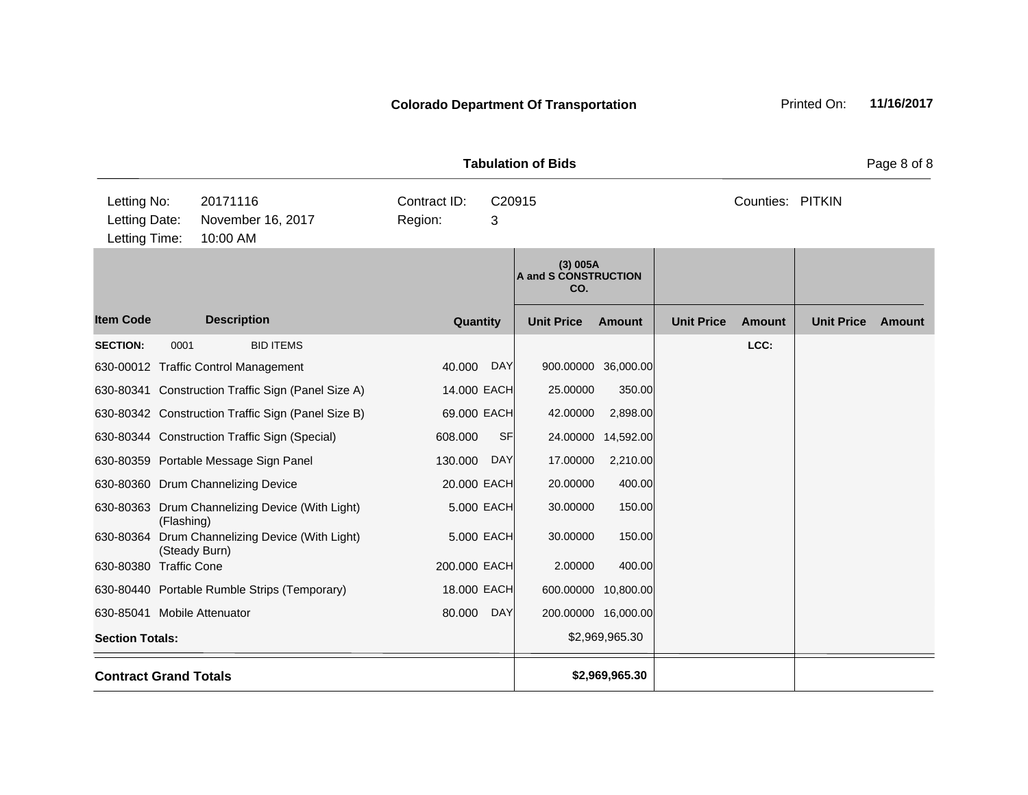|                                                                                                                 |                    |                                                                                                                                                                                                                                                                                                                                                                                                                                                                   |                                                                                                                    |                                                                                 | <b>Tabulation of Bids</b>                                                       |                                                                                                                                                                                     |                   |                  |                   | Page 8 of 8 |
|-----------------------------------------------------------------------------------------------------------------|--------------------|-------------------------------------------------------------------------------------------------------------------------------------------------------------------------------------------------------------------------------------------------------------------------------------------------------------------------------------------------------------------------------------------------------------------------------------------------------------------|--------------------------------------------------------------------------------------------------------------------|---------------------------------------------------------------------------------|---------------------------------------------------------------------------------|-------------------------------------------------------------------------------------------------------------------------------------------------------------------------------------|-------------------|------------------|-------------------|-------------|
| Letting No:<br>Letting Date:<br>Letting Time:                                                                   |                    | 20171116<br>November 16, 2017<br>10:00 AM                                                                                                                                                                                                                                                                                                                                                                                                                         | Contract ID:<br>Region:                                                                                            | C20915<br>3                                                                     |                                                                                 |                                                                                                                                                                                     |                   | Counties: PITKIN |                   |             |
|                                                                                                                 |                    |                                                                                                                                                                                                                                                                                                                                                                                                                                                                   |                                                                                                                    |                                                                                 | (3) 005A<br>A and S CONSTRUCTION<br>CO.                                         |                                                                                                                                                                                     |                   |                  |                   |             |
| <b>Item Code</b>                                                                                                |                    | <b>Description</b>                                                                                                                                                                                                                                                                                                                                                                                                                                                | Quantity                                                                                                           |                                                                                 | <b>Unit Price</b>                                                               | Amount                                                                                                                                                                              | <b>Unit Price</b> | <b>Amount</b>    | <b>Unit Price</b> | Amount      |
| <b>SECTION:</b><br>630-80364<br>630-80380 Traffic Cone<br>630-85041 Mobile Attenuator<br><b>Section Totals:</b> | 0001<br>(Flashing) | <b>BID ITEMS</b><br>630-00012 Traffic Control Management<br>630-80341 Construction Traffic Sign (Panel Size A)<br>630-80342 Construction Traffic Sign (Panel Size B)<br>630-80344 Construction Traffic Sign (Special)<br>630-80359 Portable Message Sign Panel<br>630-80360 Drum Channelizing Device<br>630-80363 Drum Channelizing Device (With Light)<br>Drum Channelizing Device (With Light)<br>(Steady Burn)<br>630-80440 Portable Rumble Strips (Temporary) | 40.000<br>14.000 EACH<br>69.000 EACH<br>608.000<br>130.000<br>20.000 EACH<br>200.000 EACH<br>18.000 EACH<br>80.000 | <b>DAY</b><br><b>SF</b><br><b>DAY</b><br>5.000 EACH<br>5.000 EACH<br><b>DAY</b> | 25.00000<br>42.00000<br>17.00000<br>20.00000<br>30.00000<br>30.00000<br>2.00000 | 900.00000 36,000.00<br>350.00<br>2,898.00<br>24.00000 14,592.00<br>2,210.00<br>400.00<br>150.00<br>150.00<br>400.00<br>600.00000 10,800.00<br>200.00000 16,000.00<br>\$2,969,965.30 |                   | LCC:             |                   |             |
| <b>Contract Grand Totals</b>                                                                                    |                    |                                                                                                                                                                                                                                                                                                                                                                                                                                                                   |                                                                                                                    |                                                                                 |                                                                                 | \$2,969,965.30                                                                                                                                                                      |                   |                  |                   |             |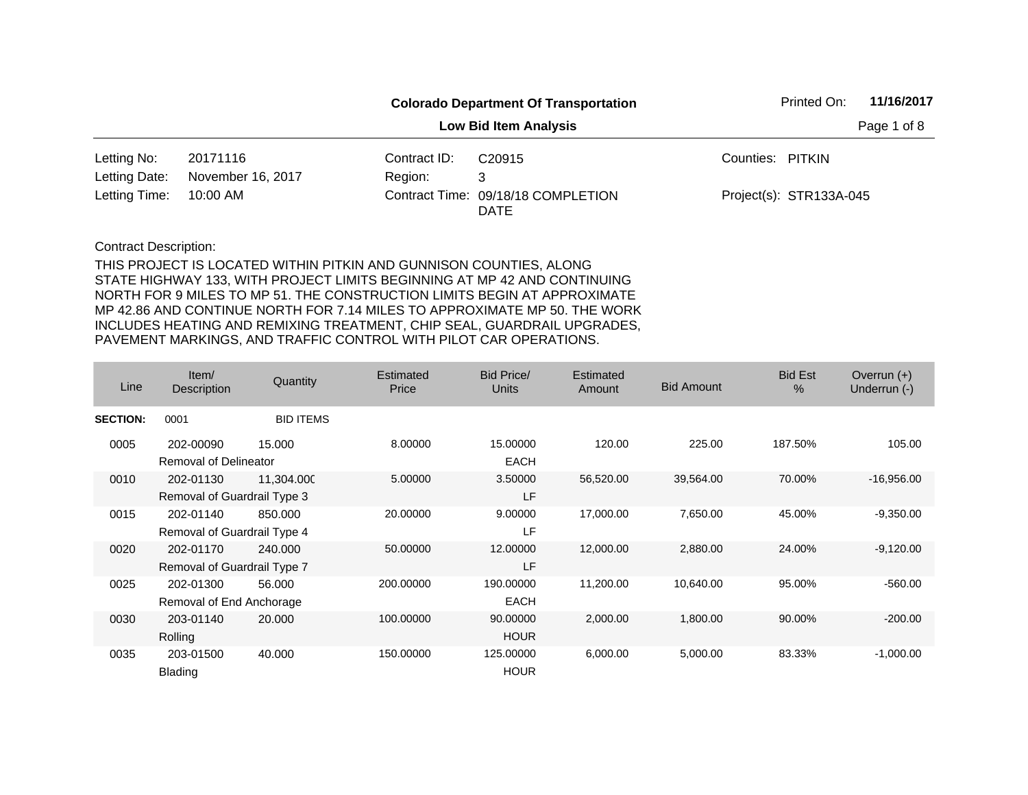|               |                   |              | <b>Colorado Department Of Transportation</b> |                  | Printed On:             | 11/16/2017  |
|---------------|-------------------|--------------|----------------------------------------------|------------------|-------------------------|-------------|
|               |                   |              | <b>Low Bid Item Analysis</b>                 |                  |                         | Page 1 of 8 |
| Letting No:   | 20171116          | Contract ID: | C <sub>20915</sub>                           | Counties: PITKIN |                         |             |
| Letting Date: | November 16, 2017 | Region:      | 3                                            |                  |                         |             |
| Letting Time: | 10:00 AM          |              | Contract Time: 09/18/18 COMPLETION<br>DATE   |                  | Project(s): STR133A-045 |             |

| Line            | Item/<br><b>Description</b>  | Quantity         | Estimated<br>Price | Bid Price/<br><b>Units</b> | Estimated<br>Amount | <b>Bid Amount</b> | <b>Bid Est</b><br>% | Overrun $(+)$<br>Underrun (-) |
|-----------------|------------------------------|------------------|--------------------|----------------------------|---------------------|-------------------|---------------------|-------------------------------|
| <b>SECTION:</b> | 0001                         | <b>BID ITEMS</b> |                    |                            |                     |                   |                     |                               |
| 0005            | 202-00090                    | 15.000           | 8.00000            | 15.00000                   | 120.00              | 225.00            | 187.50%             | 105.00                        |
|                 | <b>Removal of Delineator</b> |                  |                    | <b>EACH</b>                |                     |                   |                     |                               |
| 0010            | 202-01130                    | 11,304.000       | 5.00000            | 3.50000                    | 56,520.00           | 39,564.00         | 70.00%              | $-16,956.00$                  |
|                 | Removal of Guardrail Type 3  |                  |                    | LF                         |                     |                   |                     |                               |
| 0015            | 202-01140                    | 850,000          | 20.00000           | 9.00000                    | 17,000.00           | 7,650.00          | 45.00%              | $-9,350.00$                   |
|                 | Removal of Guardrail Type 4  |                  |                    | LF                         |                     |                   |                     |                               |
| 0020            | 202-01170                    | 240,000          | 50.00000           | 12.00000                   | 12,000.00           | 2,880.00          | 24.00%              | $-9,120.00$                   |
|                 | Removal of Guardrail Type 7  |                  |                    | LF                         |                     |                   |                     |                               |
| 0025            | 202-01300                    | 56.000           | 200,00000          | 190.00000                  | 11,200.00           | 10,640.00         | 95.00%              | $-560.00$                     |
|                 | Removal of End Anchorage     |                  |                    | <b>EACH</b>                |                     |                   |                     |                               |
| 0030            | 203-01140                    | 20.000           | 100.00000          | 90.00000                   | 2,000.00            | 1,800.00          | 90.00%              | $-200.00$                     |
|                 | Rolling                      |                  |                    | <b>HOUR</b>                |                     |                   |                     |                               |
| 0035            | 203-01500                    | 40.000           | 150.00000          | 125.00000                  | 6,000.00            | 5,000.00          | 83.33%              | $-1,000.00$                   |
|                 | <b>Blading</b>               |                  |                    | <b>HOUR</b>                |                     |                   |                     |                               |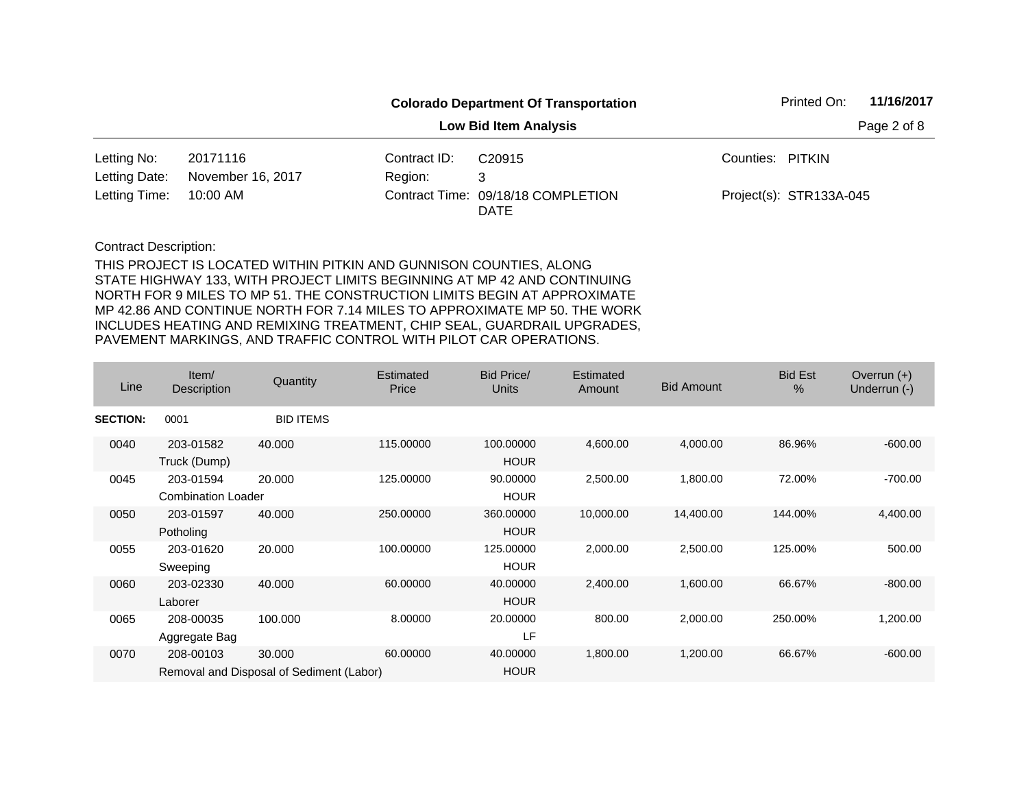|               |                   |              | <b>Colorado Department Of Transportation</b> |                  | Printed On:             | 11/16/2017  |
|---------------|-------------------|--------------|----------------------------------------------|------------------|-------------------------|-------------|
|               |                   |              | <b>Low Bid Item Analysis</b>                 |                  |                         | Page 2 of 8 |
| Letting No:   | 20171116          | Contract ID: | C <sub>20915</sub>                           | Counties: PITKIN |                         |             |
| Letting Date: | November 16, 2017 | Region:      | 3                                            |                  |                         |             |
| Letting Time: | 10:00 AM          |              | Contract Time: 09/18/18 COMPLETION<br>DATE   |                  | Project(s): STR133A-045 |             |

| Line            | Item/<br>Description                   | Quantity                                           | Estimated<br>Price | Bid Price/<br><b>Units</b> | Estimated<br>Amount | <b>Bid Amount</b> | <b>Bid Est</b><br>$\%$ | Overrun $(+)$<br>Underrun (-) |
|-----------------|----------------------------------------|----------------------------------------------------|--------------------|----------------------------|---------------------|-------------------|------------------------|-------------------------------|
| <b>SECTION:</b> | 0001                                   | <b>BID ITEMS</b>                                   |                    |                            |                     |                   |                        |                               |
| 0040            | 203-01582<br>Truck (Dump)              | 40.000                                             | 115.00000          | 100.00000<br><b>HOUR</b>   | 4,600.00            | 4,000.00          | 86.96%                 | $-600.00$                     |
| 0045            | 203-01594<br><b>Combination Loader</b> | 20,000                                             | 125.00000          | 90.00000<br><b>HOUR</b>    | 2,500.00            | 1,800.00          | 72.00%                 | $-700.00$                     |
| 0050            | 203-01597<br>Potholing                 | 40.000                                             | 250.00000          | 360.00000<br><b>HOUR</b>   | 10,000.00           | 14,400.00         | 144.00%                | 4,400.00                      |
| 0055            | 203-01620<br>Sweeping                  | 20.000                                             | 100.00000          | 125.00000<br><b>HOUR</b>   | 2,000.00            | 2,500.00          | 125.00%                | 500.00                        |
| 0060            | 203-02330<br>Laborer                   | 40.000                                             | 60.00000           | 40.00000<br><b>HOUR</b>    | 2,400.00            | 1,600.00          | 66.67%                 | $-800.00$                     |
| 0065            | 208-00035<br>Aggregate Bag             | 100.000                                            | 8.00000            | 20.00000<br>LF             | 800.00              | 2,000.00          | 250.00%                | 1,200.00                      |
| 0070            | 208-00103                              | 30.000<br>Removal and Disposal of Sediment (Labor) | 60.00000           | 40.00000<br><b>HOUR</b>    | 1,800.00            | 1,200.00          | 66.67%                 | $-600.00$                     |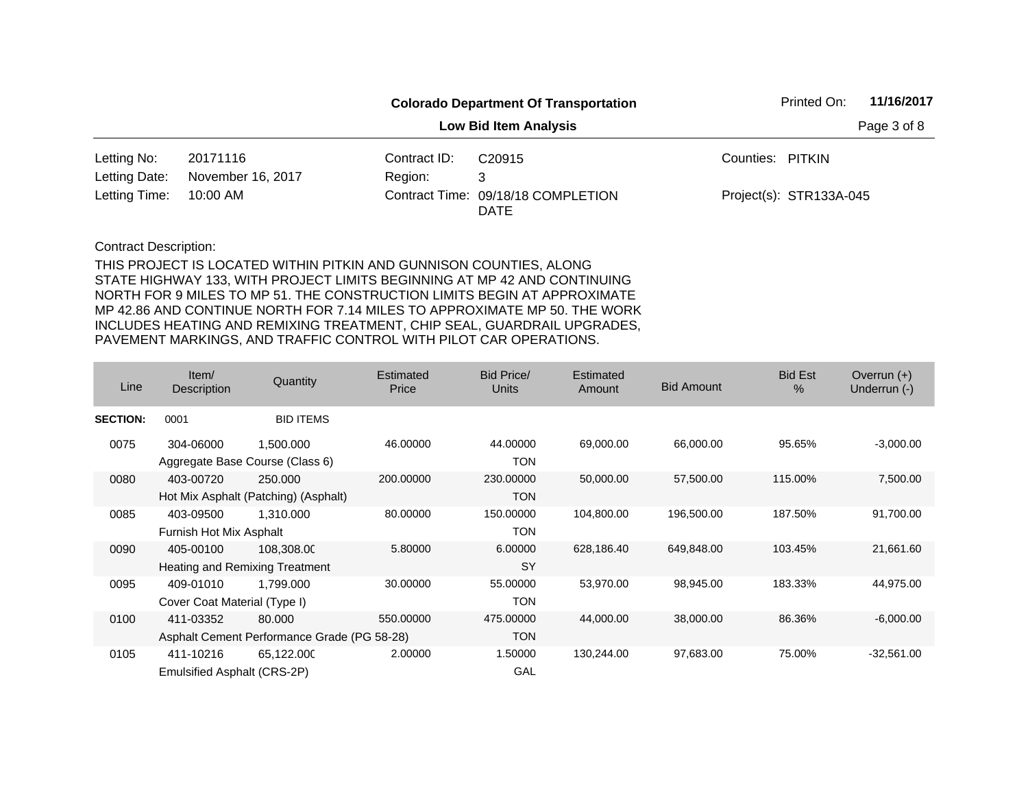| <b>Colorado Department Of Transportation</b> |                   |              |                                            | 11/16/2017<br>Printed On: |                         |  |
|----------------------------------------------|-------------------|--------------|--------------------------------------------|---------------------------|-------------------------|--|
|                                              |                   |              |                                            | Page 3 of 8               |                         |  |
| Letting No:                                  | 20171116          | Contract ID: | C <sub>20915</sub>                         | Counties: PITKIN          |                         |  |
| Letting Date:                                | November 16, 2017 | Region:      | 3                                          |                           |                         |  |
| Letting Time:                                | 10:00 AM          |              | Contract Time: 09/18/18 COMPLETION<br>DATE |                           | Project(s): STR133A-045 |  |

| Line            | Item/<br>Description         | Quantity                                    | <b>Estimated</b><br>Price | Bid Price/<br>Units | Estimated<br>Amount | <b>Bid Amount</b> | <b>Bid Est</b><br>% | Overrun $(+)$<br>Underrun (-) |
|-----------------|------------------------------|---------------------------------------------|---------------------------|---------------------|---------------------|-------------------|---------------------|-------------------------------|
| <b>SECTION:</b> | 0001                         | <b>BID ITEMS</b>                            |                           |                     |                     |                   |                     |                               |
| 0075            | 304-06000                    | 1,500.000                                   | 46.00000                  | 44.00000            | 69,000.00           | 66,000.00         | 95.65%              | $-3,000.00$                   |
|                 |                              | Aggregate Base Course (Class 6)             |                           | <b>TON</b>          |                     |                   |                     |                               |
| 0080            | 403-00720                    | 250,000                                     | 200.00000                 | 230.00000           | 50,000.00           | 57,500.00         | 115.00%             | 7,500.00                      |
|                 |                              | Hot Mix Asphalt (Patching) (Asphalt)        |                           | <b>TON</b>          |                     |                   |                     |                               |
| 0085            | 403-09500                    | 1.310.000                                   | 80.00000                  | 150.00000           | 104,800.00          | 196,500.00        | 187.50%             | 91,700.00                     |
|                 | Furnish Hot Mix Asphalt      |                                             |                           | <b>TON</b>          |                     |                   |                     |                               |
| 0090            | 405-00100                    | 108,308.00                                  | 5.80000                   | 6.00000             | 628,186.40          | 649,848.00        | 103.45%             | 21,661.60                     |
|                 |                              | Heating and Remixing Treatment              |                           | <b>SY</b>           |                     |                   |                     |                               |
| 0095            | 409-01010                    | 1.799.000                                   | 30.00000                  | 55.00000            | 53,970.00           | 98,945.00         | 183.33%             | 44,975.00                     |
|                 | Cover Coat Material (Type I) |                                             |                           | <b>TON</b>          |                     |                   |                     |                               |
| 0100            | 411-03352                    | 80,000                                      | 550.00000                 | 475.00000           | 44,000.00           | 38,000.00         | 86.36%              | $-6,000.00$                   |
|                 |                              | Asphalt Cement Performance Grade (PG 58-28) |                           | <b>TON</b>          |                     |                   |                     |                               |
| 0105            | 411-10216                    | 65,122.000                                  | 2.00000                   | 1.50000             | 130,244.00          | 97,683.00         | 75.00%              | $-32,561.00$                  |
|                 | Emulsified Asphalt (CRS-2P)  |                                             |                           | GAL                 |                     |                   |                     |                               |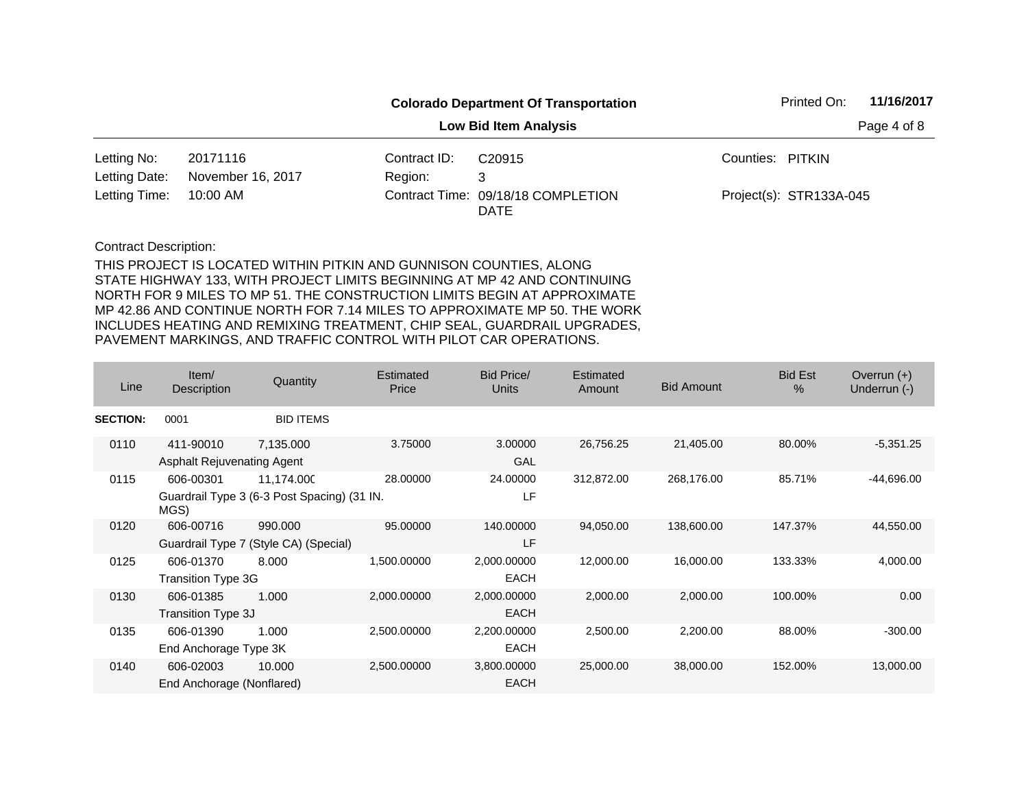| <b>Colorado Department Of Transportation</b> |                   |              |                                            | 11/16/2017<br>Printed On: |                         |  |
|----------------------------------------------|-------------------|--------------|--------------------------------------------|---------------------------|-------------------------|--|
|                                              |                   |              |                                            | Page 4 of 8               |                         |  |
| Letting No:                                  | 20171116          | Contract ID: | C <sub>20915</sub>                         | Counties: PITKIN          |                         |  |
| Letting Date:                                | November 16, 2017 | Region:      | 3                                          |                           |                         |  |
| Letting Time:                                | 10:00 AM          |              | Contract Time: 09/18/18 COMPLETION<br>DATE |                           | Project(s): STR133A-045 |  |

| Line            | Item/<br>Description                           | Quantity                                                  | <b>Estimated</b><br>Price | <b>Bid Price/</b><br><b>Units</b> | Estimated<br>Amount | <b>Bid Amount</b> | <b>Bid Est</b><br>$\%$ | Overrun $(+)$<br>Underrun (-) |
|-----------------|------------------------------------------------|-----------------------------------------------------------|---------------------------|-----------------------------------|---------------------|-------------------|------------------------|-------------------------------|
| <b>SECTION:</b> | 0001                                           | <b>BID ITEMS</b>                                          |                           |                                   |                     |                   |                        |                               |
| 0110            | 411-90010<br><b>Asphalt Rejuvenating Agent</b> | 7,135.000                                                 | 3.75000                   | 3.00000<br>GAL                    | 26,756.25           | 21,405.00         | 80.00%                 | $-5,351.25$                   |
| 0115            | 606-00301<br>MGS)                              | 11,174.000<br>Guardrail Type 3 (6-3 Post Spacing) (31 IN. | 28.00000                  | 24.00000<br>LF                    | 312,872.00          | 268,176.00        | 85.71%                 | -44,696.00                    |
| 0120            | 606-00716                                      | 990.000<br>Guardrail Type 7 (Style CA) (Special)          | 95.00000                  | 140.00000<br>LF                   | 94,050.00           | 138,600.00        | 147.37%                | 44,550.00                     |
| 0125            | 606-01370<br><b>Transition Type 3G</b>         | 8.000                                                     | 1,500.00000               | 2,000.00000<br><b>EACH</b>        | 12,000.00           | 16,000.00         | 133.33%                | 4,000.00                      |
| 0130            | 606-01385<br>Transition Type 3J                | 1.000                                                     | 2,000.00000               | 2,000.00000<br><b>EACH</b>        | 2,000.00            | 2,000.00          | 100.00%                | 0.00                          |
| 0135            | 606-01390<br>End Anchorage Type 3K             | 1.000                                                     | 2,500.00000               | 2,200.00000<br><b>EACH</b>        | 2,500.00            | 2,200.00          | 88.00%                 | $-300.00$                     |
| 0140            | 606-02003<br>End Anchorage (Nonflared)         | 10.000                                                    | 2,500.00000               | 3,800.00000<br><b>EACH</b>        | 25,000.00           | 38,000.00         | 152.00%                | 13,000.00                     |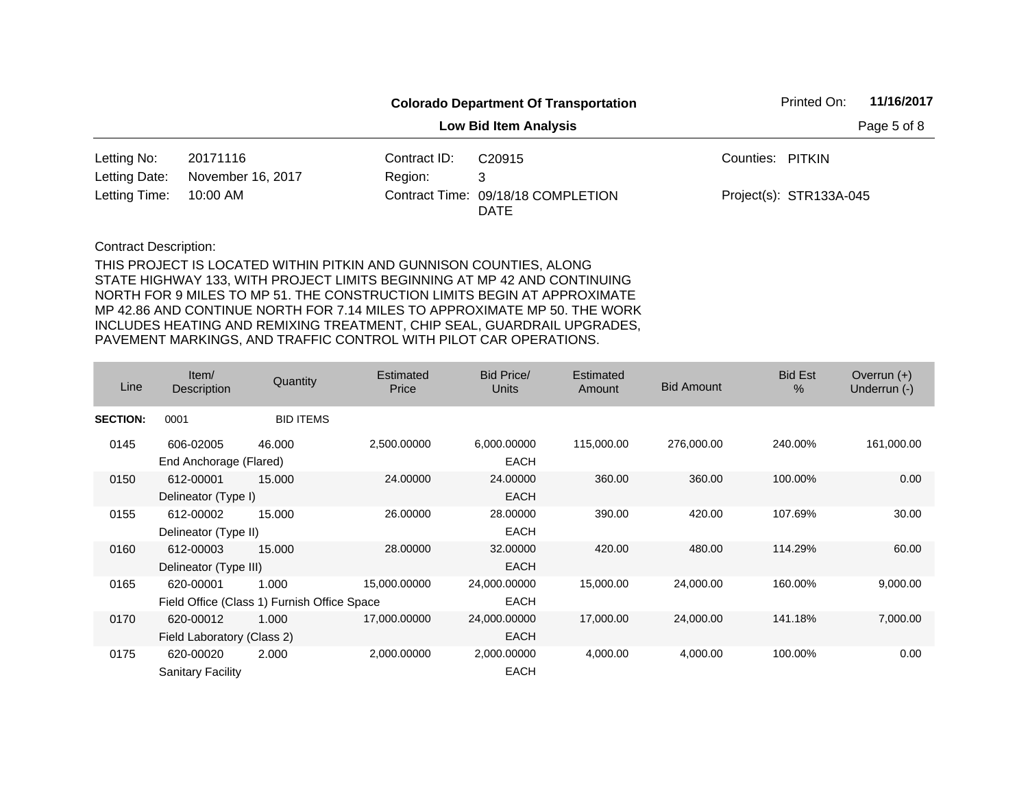|               | <b>Colorado Department Of Transportation</b> |              |                                            |                  | 11/16/2017<br>Printed On: |  |  |
|---------------|----------------------------------------------|--------------|--------------------------------------------|------------------|---------------------------|--|--|
|               |                                              |              |                                            | Page 5 of 8      |                           |  |  |
| Letting No:   | 20171116                                     | Contract ID: | C <sub>20915</sub>                         | Counties: PITKIN |                           |  |  |
| Letting Date: | November 16, 2017                            | Region:      | 3                                          |                  |                           |  |  |
| Letting Time: | 10:00 AM                                     |              | Contract Time: 09/18/18 COMPLETION<br>DATE |                  | Project(s): STR133A-045   |  |  |

| Line            | Item/<br>Description       | Quantity                                    | <b>Estimated</b><br>Price | <b>Bid Price/</b><br><b>Units</b> | Estimated<br>Amount | <b>Bid Amount</b> | <b>Bid Est</b><br>$\%$ | Overrun $(+)$<br>Underrun (-) |
|-----------------|----------------------------|---------------------------------------------|---------------------------|-----------------------------------|---------------------|-------------------|------------------------|-------------------------------|
| <b>SECTION:</b> | 0001                       | <b>BID ITEMS</b>                            |                           |                                   |                     |                   |                        |                               |
| 0145            | 606-02005                  | 46.000                                      | 2,500.00000               | 6,000.00000                       | 115,000.00          | 276,000.00        | 240.00%                | 161,000.00                    |
|                 | End Anchorage (Flared)     |                                             |                           | <b>EACH</b>                       |                     |                   |                        |                               |
| 0150            | 612-00001                  | 15.000                                      | 24.00000                  | 24.00000                          | 360.00              | 360.00            | 100.00%                | 0.00                          |
|                 | Delineator (Type I)        |                                             |                           | <b>EACH</b>                       |                     |                   |                        |                               |
| 0155            | 612-00002                  | 15.000                                      | 26.00000                  | 28,00000                          | 390.00              | 420.00            | 107.69%                | 30.00                         |
|                 | Delineator (Type II)       |                                             |                           | <b>EACH</b>                       |                     |                   |                        |                               |
| 0160            | 612-00003                  | 15.000                                      | 28.00000                  | 32.00000                          | 420.00              | 480.00            | 114.29%                | 60.00                         |
|                 | Delineator (Type III)      |                                             |                           | <b>EACH</b>                       |                     |                   |                        |                               |
| 0165            | 620-00001                  | 1.000                                       | 15,000.00000              | 24,000.00000                      | 15,000.00           | 24,000.00         | 160.00%                | 9,000.00                      |
|                 |                            | Field Office (Class 1) Furnish Office Space |                           | <b>EACH</b>                       |                     |                   |                        |                               |
| 0170            | 620-00012                  | 1.000                                       | 17,000.00000              | 24,000.00000                      | 17,000.00           | 24,000.00         | 141.18%                | 7,000.00                      |
|                 | Field Laboratory (Class 2) |                                             |                           | <b>EACH</b>                       |                     |                   |                        |                               |
| 0175            | 620-00020                  | 2.000                                       | 2,000.00000               | 2,000.00000                       | 4,000.00            | 4,000.00          | 100.00%                | 0.00                          |
|                 | <b>Sanitary Facility</b>   |                                             |                           | <b>EACH</b>                       |                     |                   |                        |                               |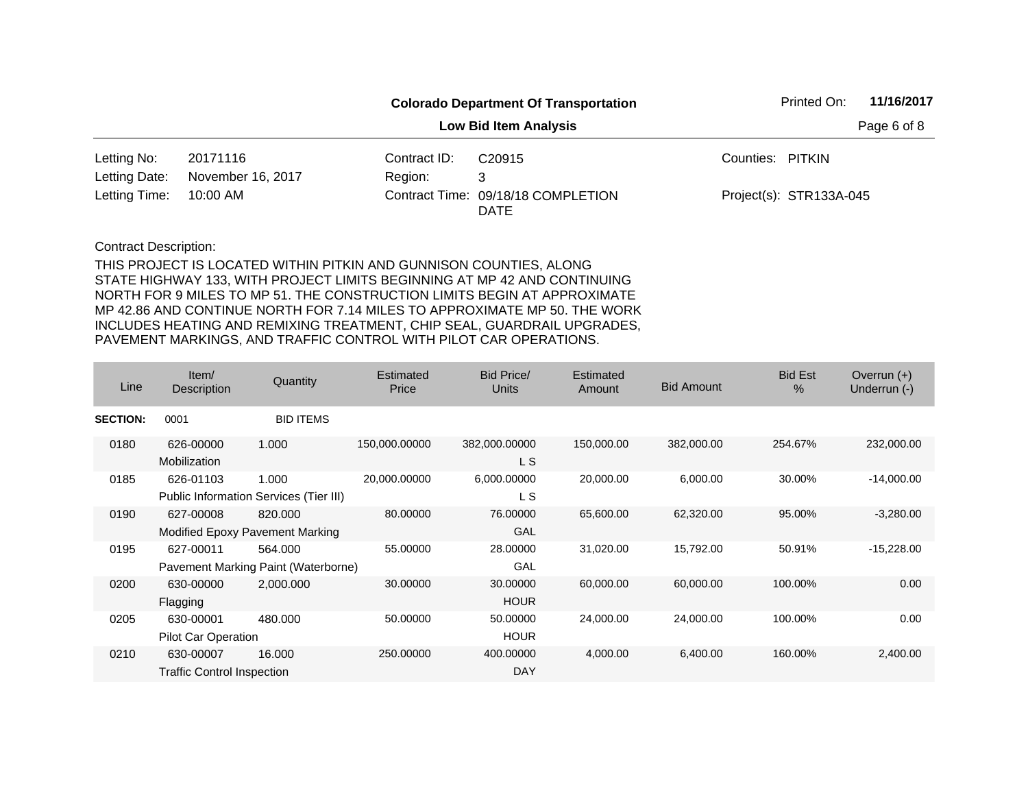| <b>Colorado Department Of Transportation</b> |                   |              |                                            | 11/16/2017<br>Printed On: |                         |             |
|----------------------------------------------|-------------------|--------------|--------------------------------------------|---------------------------|-------------------------|-------------|
|                                              |                   |              | <b>Low Bid Item Analysis</b>               |                           |                         | Page 6 of 8 |
| Letting No:                                  | 20171116          | Contract ID: | C <sub>20915</sub>                         | Counties: PITKIN          |                         |             |
| Letting Date:                                | November 16, 2017 | Region:      | 3                                          |                           |                         |             |
| Letting Time:                                | 10:00 AM          |              | Contract Time: 09/18/18 COMPLETION<br>DATE |                           | Project(s): STR133A-045 |             |

| Line            | Item $/$<br>Description                        | Quantity                                        | Estimated<br>Price | <b>Bid Price/</b><br>Units | Estimated<br>Amount | <b>Bid Amount</b> | <b>Bid Est</b><br>$\%$ | Overrun $(+)$<br>Underrun (-) |
|-----------------|------------------------------------------------|-------------------------------------------------|--------------------|----------------------------|---------------------|-------------------|------------------------|-------------------------------|
| <b>SECTION:</b> | 0001                                           | <b>BID ITEMS</b>                                |                    |                            |                     |                   |                        |                               |
| 0180            | 626-00000<br>Mobilization                      | 1.000                                           | 150,000.00000      | 382,000.00000<br>L S       | 150,000.00          | 382,000.00        | 254.67%                | 232,000.00                    |
| 0185            | 626-01103                                      | 1.000<br>Public Information Services (Tier III) | 20,000.00000       | 6,000.00000<br>L S         | 20,000.00           | 6,000.00          | 30.00%                 | $-14,000.00$                  |
| 0190            | 627-00008                                      | 820,000<br>Modified Epoxy Pavement Marking      | 80.00000           | 76.00000<br>GAL            | 65,600.00           | 62,320.00         | 95.00%                 | $-3,280.00$                   |
| 0195            | 627-00011                                      | 564.000<br>Pavement Marking Paint (Waterborne)  | 55.00000           | 28.00000<br>GAL            | 31,020.00           | 15,792.00         | 50.91%                 | $-15,228.00$                  |
| 0200            | 630-00000<br>Flagging                          | 2,000.000                                       | 30.00000           | 30.00000<br><b>HOUR</b>    | 60,000.00           | 60,000.00         | 100.00%                | 0.00                          |
| 0205            | 630-00001<br>Pilot Car Operation               | 480.000                                         | 50.00000           | 50.00000<br><b>HOUR</b>    | 24,000.00           | 24,000.00         | 100.00%                | 0.00                          |
| 0210            | 630-00007<br><b>Traffic Control Inspection</b> | 16.000                                          | 250.00000          | 400.00000<br><b>DAY</b>    | 4,000.00            | 6,400.00          | 160.00%                | 2,400.00                      |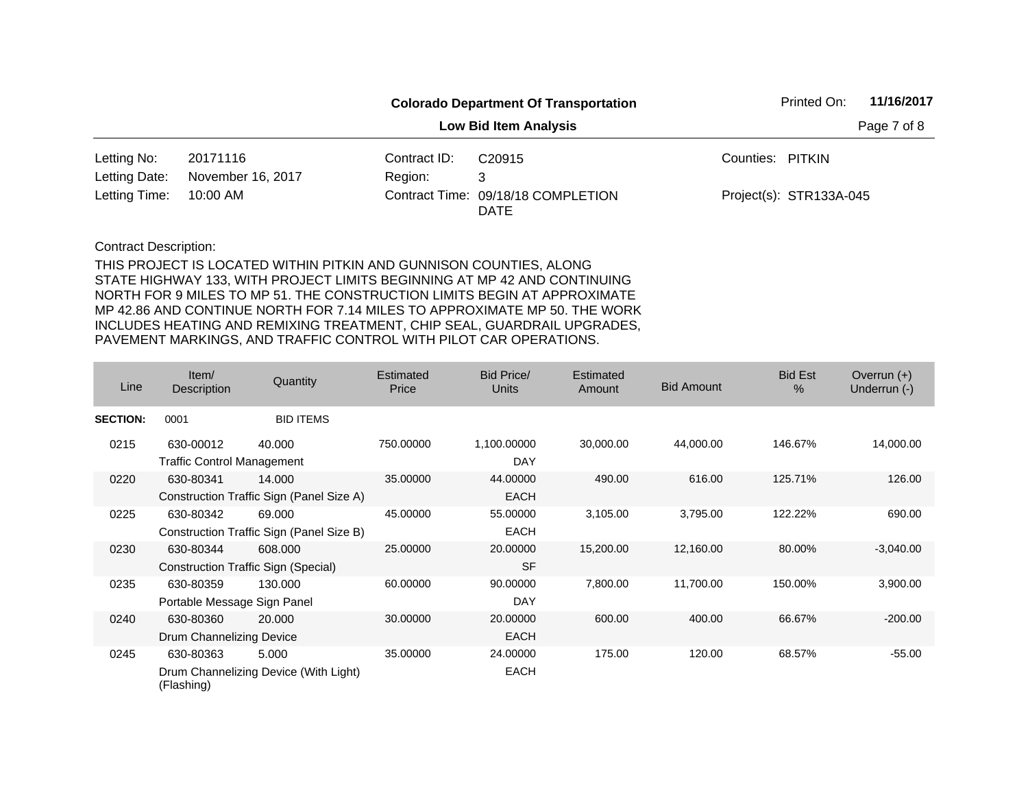| <b>Colorado Department Of Transportation</b> |                   |              |                                            | 11/16/2017<br>Printed On: |                         |  |
|----------------------------------------------|-------------------|--------------|--------------------------------------------|---------------------------|-------------------------|--|
|                                              |                   |              |                                            | Page 7 of 8               |                         |  |
| Letting No:                                  | 20171116          | Contract ID: | C <sub>20915</sub>                         | Counties: PITKIN          |                         |  |
| Letting Date:                                | November 16, 2017 | Region:      | 3                                          |                           |                         |  |
| Letting Time:                                | 10:00 AM          |              | Contract Time: 09/18/18 COMPLETION<br>DATE |                           | Project(s): STR133A-045 |  |

| Line            | Item/<br>Description                           | Quantity                                           | Estimated<br>Price | Bid Price/<br><b>Units</b> | <b>Estimated</b><br>Amount | <b>Bid Amount</b> | <b>Bid Est</b><br>$\%$ | Overrun $(+)$<br>Underrun (-) |
|-----------------|------------------------------------------------|----------------------------------------------------|--------------------|----------------------------|----------------------------|-------------------|------------------------|-------------------------------|
| <b>SECTION:</b> | 0001                                           | <b>BID ITEMS</b>                                   |                    |                            |                            |                   |                        |                               |
| 0215            | 630-00012<br><b>Traffic Control Management</b> | 40.000                                             | 750.00000          | 1,100.00000<br><b>DAY</b>  | 30,000.00                  | 44,000.00         | 146.67%                | 14,000.00                     |
| 0220            | 630-80341                                      | 14.000<br>Construction Traffic Sign (Panel Size A) | 35.00000           | 44.00000<br><b>EACH</b>    | 490.00                     | 616.00            | 125.71%                | 126.00                        |
| 0225            | 630-80342                                      | 69,000<br>Construction Traffic Sign (Panel Size B) | 45.00000           | 55.00000<br><b>EACH</b>    | 3,105.00                   | 3,795.00          | 122.22%                | 690.00                        |
| 0230            | 630-80344                                      | 608,000<br>Construction Traffic Sign (Special)     | 25,00000           | 20.00000<br><b>SF</b>      | 15,200.00                  | 12,160.00         | 80.00%                 | $-3,040.00$                   |
| 0235            | 630-80359<br>Portable Message Sign Panel       | 130,000                                            | 60.00000           | 90.00000<br><b>DAY</b>     | 7,800.00                   | 11,700.00         | 150.00%                | 3,900.00                      |
| 0240            | 630-80360<br>Drum Channelizing Device          | 20,000                                             | 30.00000           | 20.00000<br><b>EACH</b>    | 600.00                     | 400.00            | 66.67%                 | $-200.00$                     |
| 0245            | 630-80363<br>(Flashing)                        | 5.000<br>Drum Channelizing Device (With Light)     | 35,00000           | 24.00000<br><b>EACH</b>    | 175.00                     | 120.00            | 68.57%                 | $-55.00$                      |